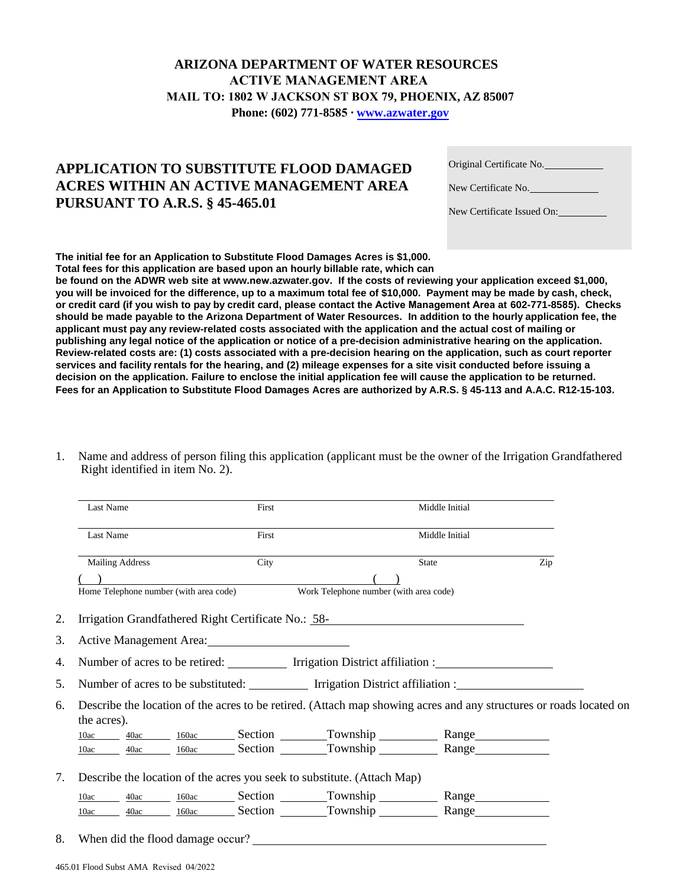## **ARIZONA DEPARTMENT OF WATER RESOURCES ACTIVE MANAGEMENT AREA MAIL TO: 1802 W JACKSON ST BOX 79, PHOENIX, AZ 85007 Phone: (602) 771-8585 ∙ www.[azwater.gov](http://www.azwater.gov/)**

## **APPLICATION TO SUBSTITUTE FLOOD DAMAGED ACRES WITHIN AN ACTIVE MANAGEMENT AREA PURSUANT TO A.R.S. § 45-465.01**

| Original Certificate No. |  |
|--------------------------|--|
| New Certificate No.      |  |

| New Certificate Issued On: |
|----------------------------|
|----------------------------|

**The initial fee for an Application to Substitute Flood Damages Acres is \$1,000. Total fees for this application are based upon an hourly billable rate, which can** 

**be found on the ADWR web site at www.new.azwater.gov. If the costs of reviewing your application exceed \$1,000, you will be invoiced for the difference, up to a maximum total fee of \$10,000. Payment may be made by cash, check, or credit card (if you wish to pay by credit card, please contact the Active Management Area at 602-771-8585). Checks should be made payable to the Arizona Department of Water Resources. In addition to the hourly application fee, the applicant must pay any review-related costs associated with the application and the actual cost of mailing or publishing any legal notice of the application or notice of a pre-decision administrative hearing on the application. Review-related costs are: (1) costs associated with a pre-decision hearing on the application, such as court reporter services and facility rentals for the hearing, and (2) mileage expenses for a site visit conducted before issuing a decision on the application. Failure to enclose the initial application fee will cause the application to be returned. Fees for an Application to Substitute Flood Damages Acres are authorized by A.R.S. § 45-113 and A.A.C. R12-15-103.**

1. Name and address of person filing this application (applicant must be the owner of the Irrigation Grandfathered Right identified in item No. 2).

|      | Last Name              | First                                               |                                                                               | Middle Initial                                                                                                     |     |
|------|------------------------|-----------------------------------------------------|-------------------------------------------------------------------------------|--------------------------------------------------------------------------------------------------------------------|-----|
|      | Last Name              | First                                               |                                                                               | Middle Initial                                                                                                     |     |
|      | <b>Mailing Address</b> | City                                                |                                                                               | State                                                                                                              | Zip |
|      |                        |                                                     |                                                                               |                                                                                                                    |     |
|      |                        |                                                     | Home Telephone number (with area code) Work Telephone number (with area code) |                                                                                                                    |     |
|      |                        | Irrigation Grandfathered Right Certificate No.: 58- |                                                                               |                                                                                                                    |     |
|      |                        | Active Management Area: 1986 1987                   |                                                                               |                                                                                                                    |     |
|      |                        |                                                     |                                                                               |                                                                                                                    |     |
|      |                        |                                                     |                                                                               | Number of acres to be retired: Irrigation District affiliation :                                                   |     |
|      |                        |                                                     |                                                                               | Number of acres to be substituted: Irrigation District affiliation :                                               |     |
|      | the acres).            |                                                     |                                                                               | Describe the location of the acres to be retired. (Attach map showing acres and any structures or roads located on |     |
|      | 10ac                   |                                                     |                                                                               |                                                                                                                    |     |
|      | 10ac                   |                                                     |                                                                               | 40ac 160ac Section Township Range<br><u>40ac 160ac Section Township</u> Range Range                                |     |
| 7.   |                        |                                                     | Describe the location of the acres you seek to substitute. (Attach Map)       |                                                                                                                    |     |
| 10ac |                        |                                                     |                                                                               | <u>40ac 160ac Section Township Range Range</u>                                                                     |     |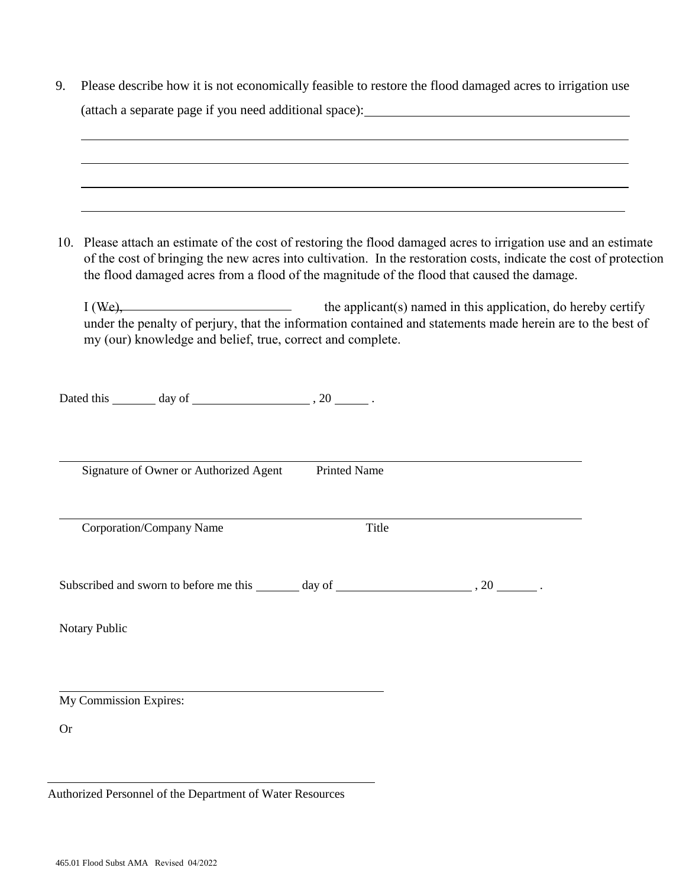|           | ,我们也不会有一个人的人,我们也不会有一个人的人,我们也不会有一个人的人。""我们,我们也不会有一个人的人,我们也不会有一个人的人。""我们,我们也不会有一个人                                                                                                                                                                                                                                                    |  |  |  |  |  |  |
|-----------|-------------------------------------------------------------------------------------------------------------------------------------------------------------------------------------------------------------------------------------------------------------------------------------------------------------------------------------|--|--|--|--|--|--|
|           |                                                                                                                                                                                                                                                                                                                                     |  |  |  |  |  |  |
|           | 10. Please attach an estimate of the cost of restoring the flood damaged acres to irrigation use and an estimate<br>of the cost of bringing the new acres into cultivation. In the restoration costs, indicate the cost of protection<br>the flood damaged acres from a flood of the magnitude of the flood that caused the damage. |  |  |  |  |  |  |
|           | $I (We),$ the applicant(s) named in this application, do hereby certify<br>under the penalty of perjury, that the information contained and statements made herein are to the best of<br>my (our) knowledge and belief, true, correct and complete.                                                                                 |  |  |  |  |  |  |
|           | Dated this $\_\_\_\_$ day of $\_\_\_\_\_\_$ , 20 $\_\_\_\_\,.$                                                                                                                                                                                                                                                                      |  |  |  |  |  |  |
|           | Signature of Owner or Authorized Agent<br><b>Printed Name</b>                                                                                                                                                                                                                                                                       |  |  |  |  |  |  |
|           | Corporation/Company Name<br>Title                                                                                                                                                                                                                                                                                                   |  |  |  |  |  |  |
|           |                                                                                                                                                                                                                                                                                                                                     |  |  |  |  |  |  |
|           | Notary Public                                                                                                                                                                                                                                                                                                                       |  |  |  |  |  |  |
|           | My Commission Expires:                                                                                                                                                                                                                                                                                                              |  |  |  |  |  |  |
|           |                                                                                                                                                                                                                                                                                                                                     |  |  |  |  |  |  |
| <b>Or</b> |                                                                                                                                                                                                                                                                                                                                     |  |  |  |  |  |  |

465.01 Flood Subst AMA Revised 04/2022